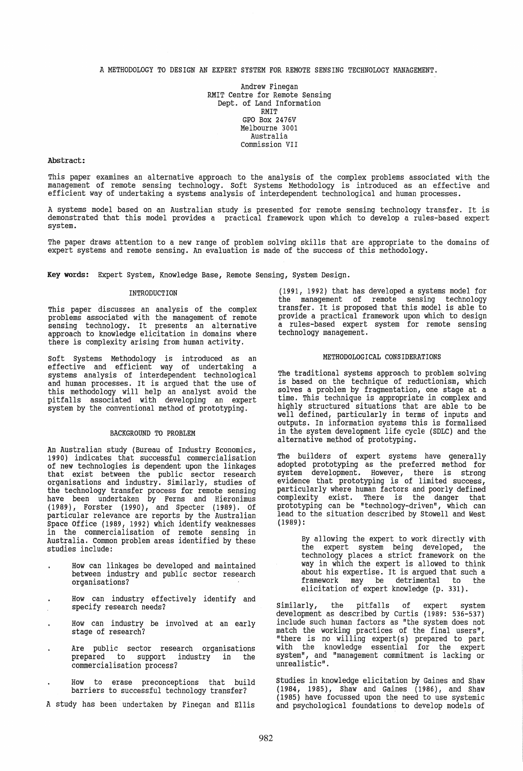A METHODOLOGY TO DESIGN AN EXPERT SYSTEM FOR REMOTE SENSING TECHNOLOGY MANAGEMENT.

Andrew Finegan RMIT Centre for Remote Sensing Dept. of Land Information RMIT GPO Box 2476V Melbourne 3001 Australia Commission VII

### Abstract:

This paper examines an alternative approach to the analysis of the complex problems associated with the management of remote sensing technology. Soft Systems Methodology is introduced as an effective and efficient way of undertaking a systems analysis of interdependent technological and human processes.

A systems model based on an Australian study is presented for remote sensing technology transfer. It is demonstrated that this model provides a practical framework upon which to develop a rules-based expert system.

The paper draws attention to a new range of problem solving skills that are appropriate to the domains of expert systems and remote sensing. An evaluation is made of the success of this methodology.

Key words: Expert System, Knowledge Base, Remote Sensing, system Design.

## INTRODUCTION

This paper discusses an analysis of the complex problems associated with the management of remote sensing technology. It presents an alternative approach to knowledge elicitation in domains where there is complexity arising from human activity.

Soft Systems Methodology is introduced as an effective and efficient way of undertaking a systems analysis of interdependent technological and human processes. It is argued that the use of this methodology will help an analyst avoid the pitfalls associated with developing an expert system by the conventional method of prototyping.

# BACKGROUND TO PROBLEM

An Australian study (Bureau of Industry Economics, 1990) indicates that successful commercialisation of new technologies is dependent upon the linkages that exist between the public sector research organisations and industry. Similarly, studies of the technology transfer process for remote sensing have been undertaken by Ferns and Hieronimus (1989), Forster (1990), and Specter (1989). Of particular relevance are reports by the Australian Space Office (1989, 1992) which identify weaknesses in the commercialisation of remote sensing in Australia. Common problem areas identified by these studies include:

- How can linkages be developed and maintained between industry and public sector research organisations?
- How can industry effectively identify and specify research needs?
- How can industry be involved at an early stage of research?
- Are public sector research organisations prepared to support industry in the commercialisation process?
- How to erase preconceptions that build barriers to successful technology transfer?
- A study has been undertaken by Finegan and Ellis

(1991, 1992) that has developed a systems model for transfer. It is proposed that this model is able to provide a practical framework upon which to design a rules-based expert system for remote sensing technology management.

### METHODOLOGICAL CONSIDERATIONS

The traditional systems approach to problem solving is based on the technique of reductionism, which solves a problem by fragmentation, one stage at a time. This technique is appropriate in complex and highly structured situations that are able to be well defined, particularly in terms of inputs and outputs. In information systems this is formalised in the system development life cycle (SDLC) and the alternative method of prototyping.

The builders of expert systems have generally adopted prototyping as the preferred method for system development. However, there is strong evidence that prototyping is of limited success, particularly where human factors and poorly defined complexity exist. There is the danger that prototyping can be "technology-driven", which can lead to the situation described by Stowell and west (1989):

> By allowing the expert to work directly with the expert system being developed, the technology places a strict framework on the way in which the expert is allowed to think about his expertise. It is argued that such a<br>framework may be detrimental to the framework may be detrimental to elicitation of expert knowledge (p. 331).

Similarly, the pitfalls of expert system development as described by curtis (1989: 536-537) include such human factors as "the system does not match the working practices of the final users",<br>"there is no willing expert(s) prepared to part with the knowledge essential for the expert system", and "management commitment is lacking or unrealistic" .

Studies in knowledge elicitation by Gaines and Shaw (1984, 1985), Shaw and Gaines (1986), and Shaw (1985) have focussed upon the need to use systemic and psychological foundations to develop models of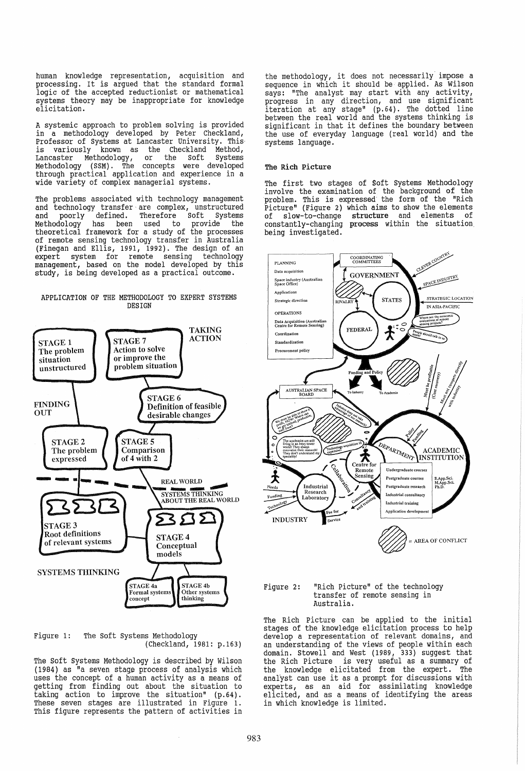human knowledge representation, acquisition and processing. It is argued that the standard formal logic of the accepted reductionist or mathematical systems theory may be inappropriate for knowledge elicitation.

A systemic approach to problem solving is provided in a methodology developed by Peter Checkland, Professor of systems at Lancaster University. This· is variously known as the Checkland Method, Lancaster Methodology, or the Soft Systems Methodology (SSM). The concepts were developed through practical application and experience in a wide variety of complex managerial systems.

The problems associated with technology management and technology transfer are complex, unstructured and poorly defined. Therefore Soft Systems Methodology has been used to provide the theoretical framework for a study of the processes of remote sensing technology transfer in Australia (Finegan and Ellis, 1991, 1992). The design of an expert system for remote sensing technology management, based on the model developed by this study, is being developed as a practical outcome.

# APPLICATION OF THE METHODOLOGY TO EXPERT SYSTEMS **DESIGN**



Figure 1: The Soft Systems Methodology (Checkland, 1981: p.163)

The Soft Systems Methodology is described by Wilson  $(1984)$  as "a seven stage process of analysis which uses the concept of a human activity as a means of getting from finding out about the situation to<br>taking action to improve the situation" (p.64). taking action to improve the situation" (p.64).<br>These seven stages are illustrated in Figure 1. This figure represents the pattern of activities in

the methodology, it does not necessarily impose a sequence in which it should be applied. As Wilson says: "The analyst may start with any activity,<br>progress in any direction, and use significant iteration at any stage" (p. 64). The dotted line between the real world and the systems thinking is significant in that it defines the boundary between the use of everyday language (real world) and the systems language.

# The Rich Picture

The first two stages of Soft systems Methodology invol ve the examination of the background of the problem. This is expressed the form of the "Rich Picture" (Figure 2) which aims to show the elements of slow-to-change structure and elements of constantly-changing process within the situation, being investigated.



Figure 2: "Rich picture" of the technology transfer of remote sensing in Australia.

The Rich Picture can be applied to the initial stages of the knowledge elicitation process to help develop a representation of relevant domains, and an understanding of the views of people within each domain. Stowell and West (1989, 333) suggest that the Rich Picture is very useful as a summary of the knowledge elicitated from the expert. The analyst can use it as a prompt for discussions with experts, as an aid for assimilating knowledge elicited, and as a means of identifying the areas in which knowledge is limited.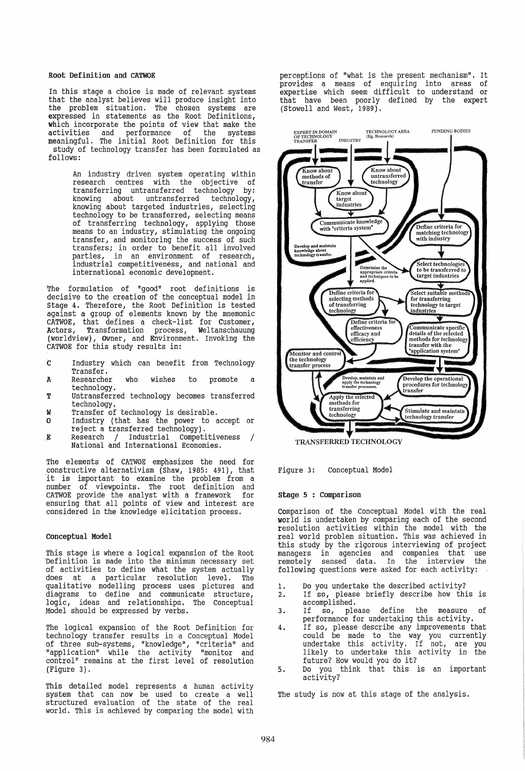# Root Definition and CATWOE

In this stage a choice is made of relevant systems<br>that the analyst believes will produce insight into the problem situation. The chosen systems are expressed in statements as the Root Definitions, which incorporate the points of view that make the activities and performance of the systems meaningful. The initial Root Definition for this study of technology transfer has been formulated as follows:

> An industry driven system operating within research centres with the objective of transferring untransferred technology by: knowing about untransferred technology, knowing about targeted industries, selecting technology to be transferred, selecting means of transferring technology, applying those means to an industry, stimulating the ongoing transfer, and monitoring the success of such transfers; in order to benefit all involved parties, in an environment of research, industrial competitiveness, and national and international economic development.

The formulation of "good" root definitions is decisive to the creation of the conceptual model in stage 4. Therefore, the Root Definition is tested against a group of elements known by the mnemonic CATWOE, that defines a check-list for Customer,<br>Actors, Transformation process, Weltanschauung  $process<sub>1</sub>$  Weltanschauung (worldview), Owner, and Environment. Invoking the CATWOE for this study results in:

- c Industry which can benefit from Technology Transfer.
- A Researcher who wishes to promote a technology.
- T Untransferred technology becomes transferred technology.
- W Transfer of technology is desirable.
- o Industry (that has the power to accept or teject a transferred technology).
- $\mathbf{E}$ Research / Industrial competitiveness / National and International Economies.

The elements of CATWOE emphasizes the need for constructive alternativism (Shaw, 1985: 491), that<br>it is important to examine the problem from a number of viewpoints. The root definition and CATWOE provide the analyst with a framework for ensuring that all points of view and interest are considered in the knowledge elicitation process.

## conceptual Model

This stage is where a logical expansion of the Root Definition is made into the minimum necessary set of activities to define what the system actually<br>does at a particular resolution level. The does at a particular resolution level. qualitative modelling process uses pictures and diagrams to define and communicate structure, logic, ideas and relationships. The conceptual Model should be expressed by verbs.

The logical expansion of the Root Definition for technology transfer results in a Conceptual Model of three sub-systems, "knowledge", "criteria" and "application" while the activity "monitor and control" remains at the first level of resolution {Figure 3}.

This detailed model represents a human activity system that can now be used to create a well structured evaluation of the state of the real world. This is achieved by comparing the model with perceptions of "what is the present mechanism". It provides a means of enquiring into areas of expertise which seem difficult to understand or that have been poorly defined by the expert (stowell and west, 1989).



Figure 3: conceptual Model

## stage 5 : Comparison

Comparison of the Conceptual Model with the real world is undertaken by comparing each of the second resolution activities within the model with the real world problem situation. This was achieved in this study by the rigorous interviewing of project managers in agencies and companies that use remotely sensed data. In the interview the following questions were asked for each activity:

- 1. Do you undertake the described activity?
- 2. If so, please briefly describe how this is accomplished.
- 3. If so, please define the measure of performance for undertaking this activity.
- 4. If so, please describe any improvements that could be made to the way you currently undertake this activity. If not, are you likely to undertake this activity in the future? How would you do it?
- 5. Do you think that this is an important activity?

The study is now at this stage of the analysis.